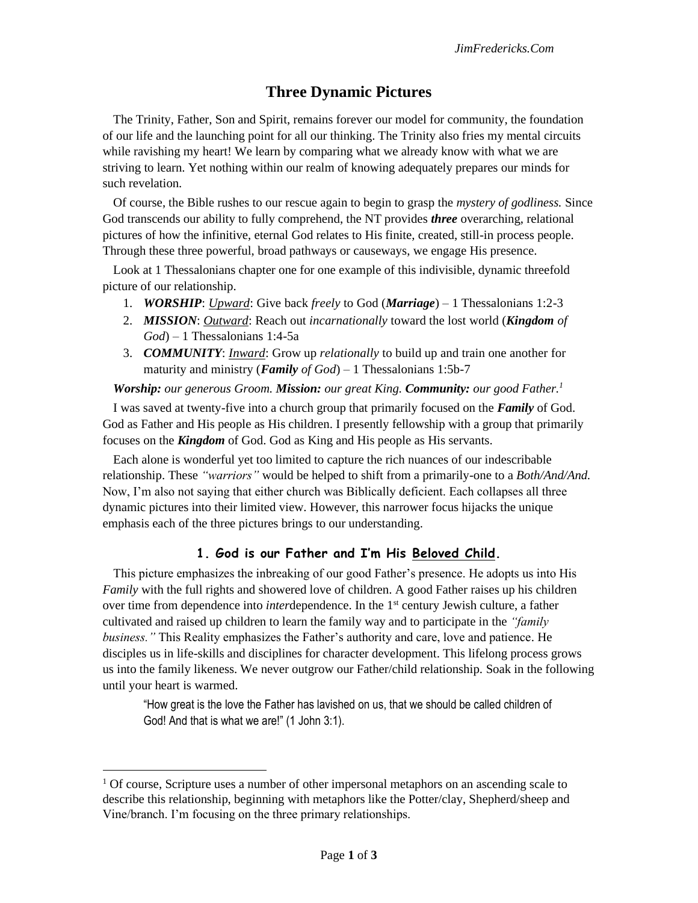## **Three Dynamic Pictures**

The Trinity, Father, Son and Spirit, remains forever our model for community, the foundation of our life and the launching point for all our thinking. The Trinity also fries my mental circuits while ravishing my heart! We learn by comparing what we already know with what we are striving to learn. Yet nothing within our realm of knowing adequately prepares our minds for such revelation.

Of course, the Bible rushes to our rescue again to begin to grasp the *mystery of godliness.* Since God transcends our ability to fully comprehend, the NT provides *three* overarching, relational pictures of how the infinitive, eternal God relates to His finite, created, still-in process people. Through these three powerful, broad pathways or causeways, we engage His presence.

Look at 1 Thessalonians chapter one for one example of this indivisible, dynamic threefold picture of our relationship.

- 1. *WORSHIP*: *Upward*: Give back *freely* to God (*Marriage*) 1 Thessalonians 1:2-3
- 2. *MISSION*: *Outward*: Reach out *incarnationally* toward the lost world (*Kingdom of God*) – 1 Thessalonians 1:4-5a
- 3. *COMMUNITY*: *Inward*: Grow up *relationally* to build up and train one another for maturity and ministry (*Family of God*) – 1 Thessalonians 1:5b-7

*Worship: our generous Groom. Mission: our great King. Community: our good Father.<sup>1</sup>*

I was saved at twenty-five into a church group that primarily focused on the *Family* of God. God as Father and His people as His children. I presently fellowship with a group that primarily focuses on the *Kingdom* of God. God as King and His people as His servants.

Each alone is wonderful yet too limited to capture the rich nuances of our indescribable relationship. These *"warriors"* would be helped to shift from a primarily-one to a *Both/And/And.*  Now, I'm also not saying that either church was Biblically deficient. Each collapses all three dynamic pictures into their limited view. However, this narrower focus hijacks the unique emphasis each of the three pictures brings to our understanding.

## **1. God is our Father and I'm His Beloved Child.**

This picture emphasizes the inbreaking of our good Father's presence. He adopts us into His *Family* with the full rights and showered love of children. A good Father raises up his children over time from dependence into *inter*dependence. In the 1st century Jewish culture, a father cultivated and raised up children to learn the family way and to participate in the *"family business."* This Reality emphasizes the Father's authority and care, love and patience. He disciples us in life-skills and disciplines for character development. This lifelong process grows us into the family likeness. We never outgrow our Father/child relationship. Soak in the following until your heart is warmed.

"How great is the love the Father has lavished on us, that we should be called children of God! And that is what we are!" (1 John 3:1).

<sup>&</sup>lt;sup>1</sup> Of course, Scripture uses a number of other impersonal metaphors on an ascending scale to describe this relationship, beginning with metaphors like the Potter/clay, Shepherd/sheep and Vine/branch. I'm focusing on the three primary relationships.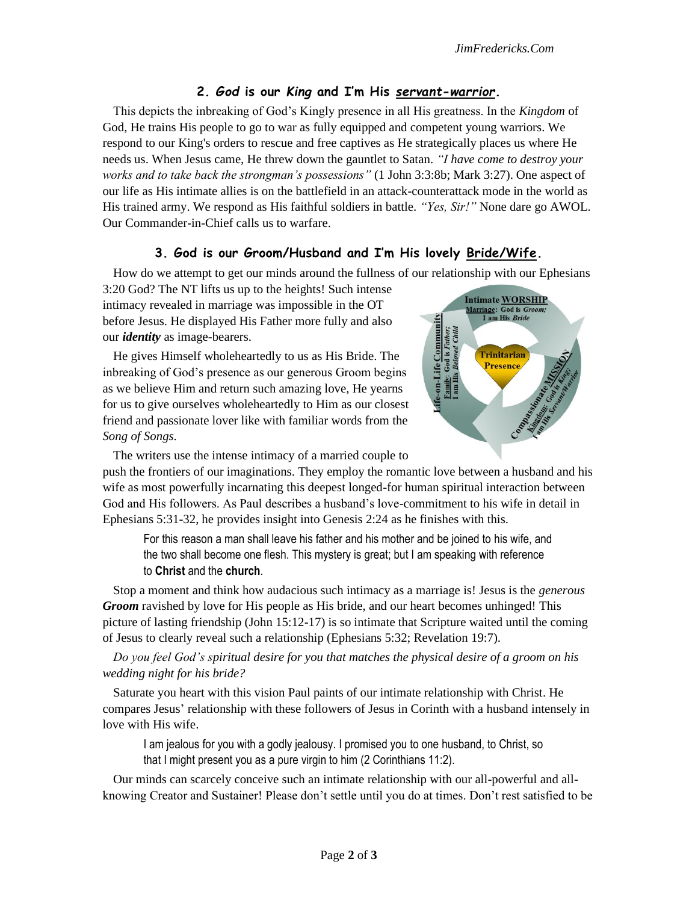## **2.** *God* **is our** *King* **and I'm His** *servant-warrior.*

This depicts the inbreaking of God's Kingly presence in all His greatness. In the *Kingdom* of God, He trains His people to go to war as fully equipped and competent young warriors. We respond to our King's orders to rescue and free captives as He strategically places us where He needs us. When Jesus came, He threw down the gauntlet to Satan. *"I have come to destroy your works and to take back the strongman's possessions"* (1 John 3:3:8b; Mark 3:27). One aspect of our life as His intimate allies is on the battlefield in an attack-counterattack mode in the world as His trained army. We respond as His faithful soldiers in battle. *"Yes, Sir!"* None dare go AWOL. Our Commander-in-Chief calls us to warfare.

## **3. God is our Groom/Husband and I'm His lovely Bride/Wife.**

How do we attempt to get our minds around the fullness of our relationship with our Ephesians

3:20 God? The NT lifts us up to the heights! Such intense intimacy revealed in marriage was impossible in the OT before Jesus. He displayed His Father more fully and also our *identity* as image-bearers.

He gives Himself wholeheartedly to us as His Bride. The inbreaking of God's presence as our generous Groom begins as we believe Him and return such amazing love, He yearns for us to give ourselves wholeheartedly to Him as our closest friend and passionate lover like with familiar words from the *Song of Songs*.



The writers use the intense intimacy of a married couple to

push the frontiers of our imaginations. They employ the romantic love between a husband and his wife as most powerfully incarnating this deepest longed-for human spiritual interaction between God and His followers. As Paul describes a husband's love-commitment to his wife in detail in Ephesians 5:31-32, he provides insight into Genesis 2:24 as he finishes with this.

For this reason a man shall leave his father and his mother and be joined to his wife, and the two shall become one flesh. This mystery is great; but I am speaking with reference to **Christ** and the **church**.

Stop a moment and think how audacious such intimacy as a marriage is! Jesus is the *generous Groom* ravished by love for His people as His bride, and our heart becomes unhinged! This picture of lasting friendship (John 15:12-17) is so intimate that Scripture waited until the coming of Jesus to clearly reveal such a relationship (Ephesians 5:32; Revelation 19:7).

*Do you feel God's spiritual desire for you that matches the physical desire of a groom on his wedding night for his bride?* 

Saturate you heart with this vision Paul paints of our intimate relationship with Christ. He compares Jesus' relationship with these followers of Jesus in Corinth with a husband intensely in love with His wife.

I am jealous for you with a godly jealousy. I promised you to one husband, to Christ, so that I might present you as a pure virgin to him (2 Corinthians 11:2).

Our minds can scarcely conceive such an intimate relationship with our all-powerful and allknowing Creator and Sustainer! Please don't settle until you do at times. Don't rest satisfied to be